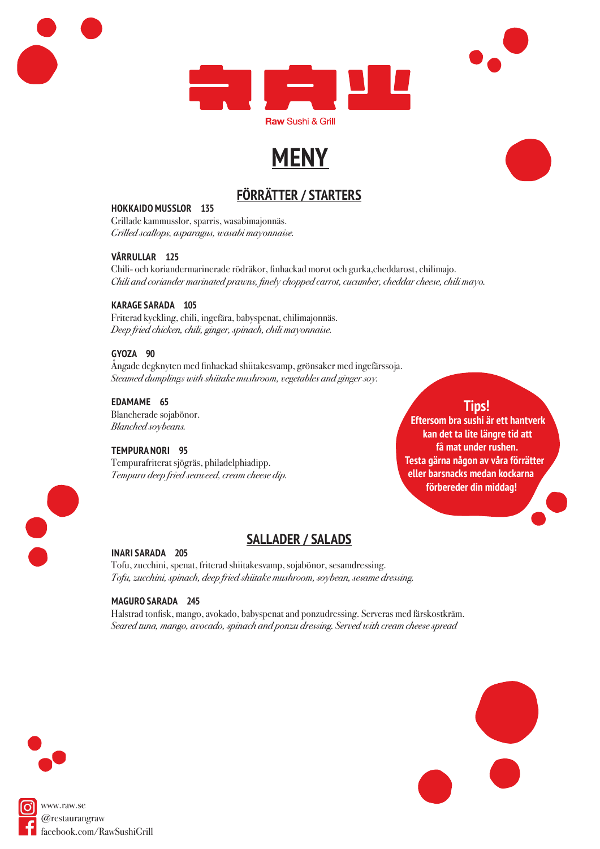

## **MENY**

## **FÖRRÄTTER / STARTERS**

#### **HOKKAIDO MUSSLOR 135**

Grillade kammusslor, sparris, wasabimajonnäs. Grilled scallops, asparagus, wasabi mayonnaise.

#### **VÅRRULLAR 125**

Chili- och koriandermarinerade rödräkor, finhackad morot och gurka,cheddarost, chilimajo. Chili and coriander marinated prawns, finely chopped carrot, cucumber, cheddar cheese, chili mayo.

#### **KARAGE SARADA 105**

Friterad kyckling, chili, ingefära, babyspenat, chilimajonnäs. Deep fried chicken, chili, ginger, spinach, chili mayonnaise.

#### **GYOZA 90**

Ångade degknyten med finhackad shiitakesvamp, grönsaker med ingefärssoja. Steamed dumplings with shiitake mushroom, vegetables and ginger soy.

#### **EDAMAME 65**

Blancherade sojabönor. Blanched soybeans.

#### **TEMPURA NORI 95**

Tempurafriterat sjögräs, philadelphiadipp. Tempura deep fried seaweed, cream cheese dip.

#### **Tips! Eftersom bra sushi är ett hantverk kan det ta lite längre tid att få mat under rushen. Testa gärna någon av våra förrätter eller barsnacks medan kockarna förbereder din middag!**



### **SALLADER / SALADS**

#### **INARI SARADA 205**

Tofu, zucchini, spenat, friterad shiitakesvamp, sojabönor, sesamdressing. Tofu, zucchini, spinach, deep fried shiitake mushroom, soybean, sesame dressing.

#### **MAGURO SARADA 245**

Halstrad tonfisk, mango, avokado, babyspenat and ponzudressing. Serveras med färskostkräm. Seared tuna, mango, avocado, spinach and ponzu dressing. Served with cream cheese spread



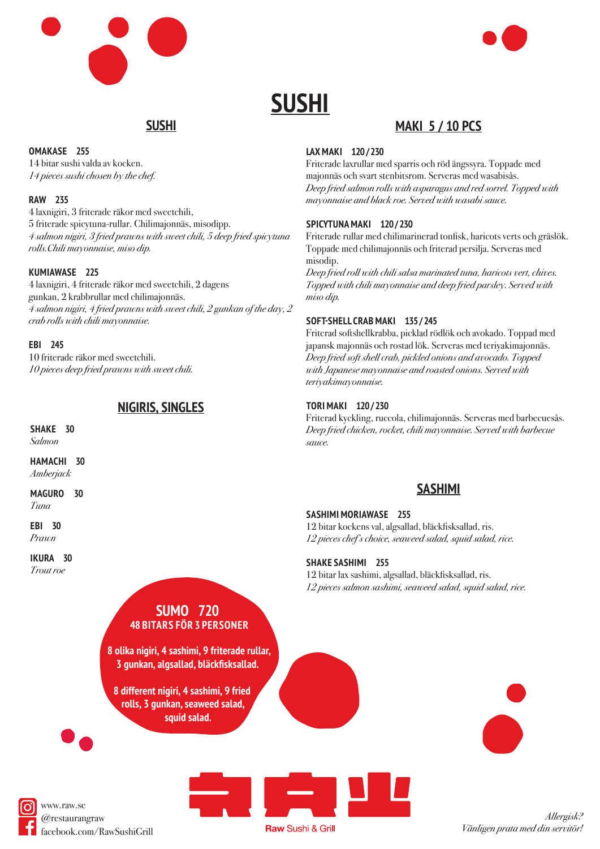



## **SUSHI**

## **SUSHI**

#### **OMAKASE 255**

14 bitar sushi valda av kocken. 14 pieces sushi chosen by the chef.

#### **RAW 235**

4 laxnigiri, 3 friterade räkor med sweetchili, 5 friterade spicytuna-rullar. Chilimajonnäs, misodipp. 4 salmon nigiri, 3 fried prawns with sweet chili, 5 deep fried spicytuna rolls.Chili mayonnaise, miso dip.

#### **KUMIAWASE 225**

4 laxnigiri, 4 friterade räkor med sweetchili, 2 dagens gunkan, 2 krabbrullar med chilimajonnäs. 4 salmon nigiri, 4 fried prawns with sweet chili, 2 gunkan of the day, 2 crab rolls with chili mayonnaise.

#### **EBI 245**

10 friterade räkor med sweetchili. 10 pieces deep fried prawns with sweet chili.

## **NIGIRIS, SINGLES**

**SHAKE 30** Salmon

**HAMACHI 30** Amberjack

**MAGURO 30** Tuna

**EBI 30**

Prawn

**IKURA 30**

Trout roe

## **SUMO 720 48 BITARS FÖR 3 PERSONER**

**8 olika nigiri, 4 sashimi, 9 friterade rullar, 3 gunkan, algsallad, bläckfisksallad.**

**8 different nigiri, 4 sashimi, 9 fried rolls, 3 gunkan, seaweed salad, squid salad.**

#### **LAX MAKI 120 / 230**

Friterade laxrullar med sparris och röd ängssyra. Toppade med majonnäs och svart stenbitsrom. Serveras med wasabisås. Deep fried salmon rolls with asparagus and red sorrel. Topped with mayonnaise and black roe. Served with wasabi sauce.

**MAKI 5 / 10 PCS**

#### **SPICYTUNA MAKI 120 / 230**

Friterade rullar med chilimarinerad tonfisk, haricots verts och gräslök. Toppade med chilimajonnäs och friterad persilja. Serveras med misodip.

Deep fried roll with chili salsa marinated tuna, haricots vert, chives. Topped with chili mayonnaise and deep fried parsley. Served with miso dip.

#### **SOFT-SHELL CRAB MAKI 135 / 245**

Friterad softshellkrabba, picklad rödlök och avokado. Toppad med japansk majonnäs och rostad lök. Serveras med teriyakimajonnäs. Deep fried soft shell crab, pickled onions and avocado. Topped with Japanese mayonnaise and roasted onions. Served with teriyakimayonnaise.

#### **TORI MAKI 120 / 230**

Friterad kyckling, ruccola, chilimajonnäs. Serveras med barbecuesås. Deep fried chicken, rocket, chili mayonnaise. Served with barbecue sauce.

## **SASHIMI**

#### **SASHIMI MORIAWASE 255**

12 bitar kockens val, algsallad, bläckfisksallad, ris. 12 pieces chef's choice, seaweed salad, squid salad, rice.

#### **SHAKE SASHIMI 255**

12 bitar lax sashimi, algsallad, bläckfisksallad, ris. 12 pieces salmon sashimi, seaweed salad, squid salad, rice.





www.raw.se @restaurangraw facebook.com/RawSushiGrill

**Raw Sushi & Grill** 

Allergisk? Vänligen prata med din servitör!